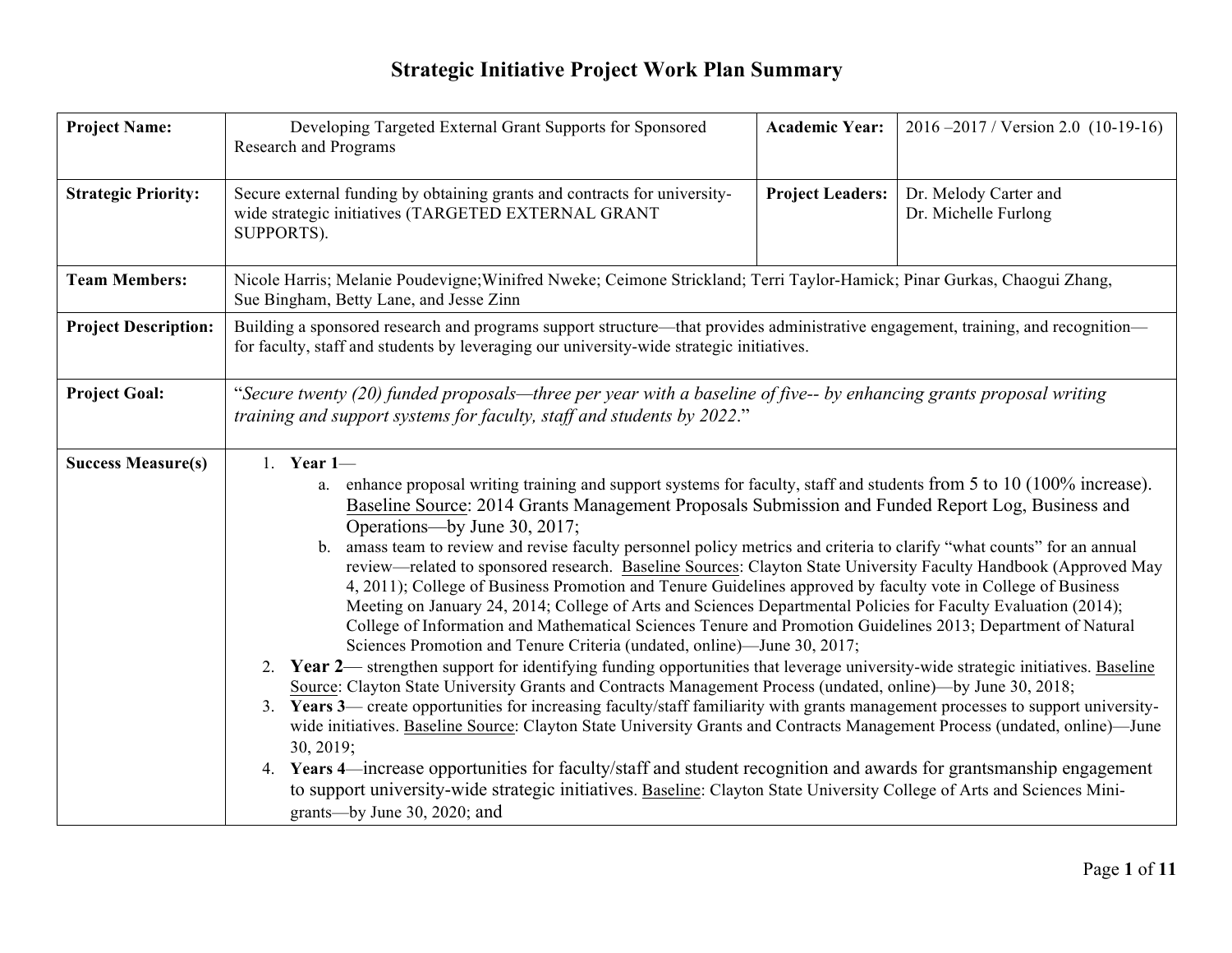| <b>Project Name:</b>        | Developing Targeted External Grant Supports for Sponsored<br><b>Research and Programs</b>                                                                                                                                                                                                                                                                                                                                                                                                                                                                                                                                                                                                                                                                                                                                                                                                                                                                                                                                                                                                                                                                                                                                                                                                                                                                                                                                                                                                                                                                                                                                                                                                                                                                                           | <b>Academic Year:</b>   | $2016 - 2017$ / Version 2.0 (10-19-16)        |  |  |  |
|-----------------------------|-------------------------------------------------------------------------------------------------------------------------------------------------------------------------------------------------------------------------------------------------------------------------------------------------------------------------------------------------------------------------------------------------------------------------------------------------------------------------------------------------------------------------------------------------------------------------------------------------------------------------------------------------------------------------------------------------------------------------------------------------------------------------------------------------------------------------------------------------------------------------------------------------------------------------------------------------------------------------------------------------------------------------------------------------------------------------------------------------------------------------------------------------------------------------------------------------------------------------------------------------------------------------------------------------------------------------------------------------------------------------------------------------------------------------------------------------------------------------------------------------------------------------------------------------------------------------------------------------------------------------------------------------------------------------------------------------------------------------------------------------------------------------------------|-------------------------|-----------------------------------------------|--|--|--|
| <b>Strategic Priority:</b>  | Secure external funding by obtaining grants and contracts for university-<br>wide strategic initiatives (TARGETED EXTERNAL GRANT<br>SUPPORTS).                                                                                                                                                                                                                                                                                                                                                                                                                                                                                                                                                                                                                                                                                                                                                                                                                                                                                                                                                                                                                                                                                                                                                                                                                                                                                                                                                                                                                                                                                                                                                                                                                                      | <b>Project Leaders:</b> | Dr. Melody Carter and<br>Dr. Michelle Furlong |  |  |  |
| <b>Team Members:</b>        | Nicole Harris; Melanie Poudevigne; Winifred Nweke; Ceimone Strickland; Terri Taylor-Hamick; Pinar Gurkas, Chaogui Zhang,<br>Sue Bingham, Betty Lane, and Jesse Zinn                                                                                                                                                                                                                                                                                                                                                                                                                                                                                                                                                                                                                                                                                                                                                                                                                                                                                                                                                                                                                                                                                                                                                                                                                                                                                                                                                                                                                                                                                                                                                                                                                 |                         |                                               |  |  |  |
| <b>Project Description:</b> | Building a sponsored research and programs support structure—that provides administrative engagement, training, and recognition—<br>for faculty, staff and students by leveraging our university-wide strategic initiatives.                                                                                                                                                                                                                                                                                                                                                                                                                                                                                                                                                                                                                                                                                                                                                                                                                                                                                                                                                                                                                                                                                                                                                                                                                                                                                                                                                                                                                                                                                                                                                        |                         |                                               |  |  |  |
| <b>Project Goal:</b>        | "Secure twenty (20) funded proposals—three per year with a baseline of five-- by enhancing grants proposal writing<br>training and support systems for faculty, staff and students by 2022."                                                                                                                                                                                                                                                                                                                                                                                                                                                                                                                                                                                                                                                                                                                                                                                                                                                                                                                                                                                                                                                                                                                                                                                                                                                                                                                                                                                                                                                                                                                                                                                        |                         |                                               |  |  |  |
| <b>Success Measure(s)</b>   | 1. Year $1-$<br>a. enhance proposal writing training and support systems for faculty, staff and students from 5 to 10 (100% increase).<br>Baseline Source: 2014 Grants Management Proposals Submission and Funded Report Log, Business and<br>Operations—by June 30, 2017;<br>b. amass team to review and revise faculty personnel policy metrics and criteria to clarify "what counts" for an annual<br>review—related to sponsored research. Baseline Sources: Clayton State University Faculty Handbook (Approved May<br>4, 2011); College of Business Promotion and Tenure Guidelines approved by faculty vote in College of Business<br>Meeting on January 24, 2014; College of Arts and Sciences Departmental Policies for Faculty Evaluation (2014);<br>College of Information and Mathematical Sciences Tenure and Promotion Guidelines 2013; Department of Natural<br>Sciences Promotion and Tenure Criteria (undated, online)—June 30, 2017;<br>2. Year 2— strengthen support for identifying funding opportunities that leverage university-wide strategic initiatives. Baseline<br>Source: Clayton State University Grants and Contracts Management Process (undated, online)—by June 30, 2018;<br>Years 3— create opportunities for increasing faculty/staff familiarity with grants management processes to support university-<br>3.<br>wide initiatives. Baseline Source: Clayton State University Grants and Contracts Management Process (undated, online)-June<br>30, 2019;<br>Years 4—increase opportunities for faculty/staff and student recognition and awards for grantsmanship engagement<br>4.<br>to support university-wide strategic initiatives. Baseline: Clayton State University College of Arts and Sciences Mini-<br>grants—by June 30, 2020; and |                         |                                               |  |  |  |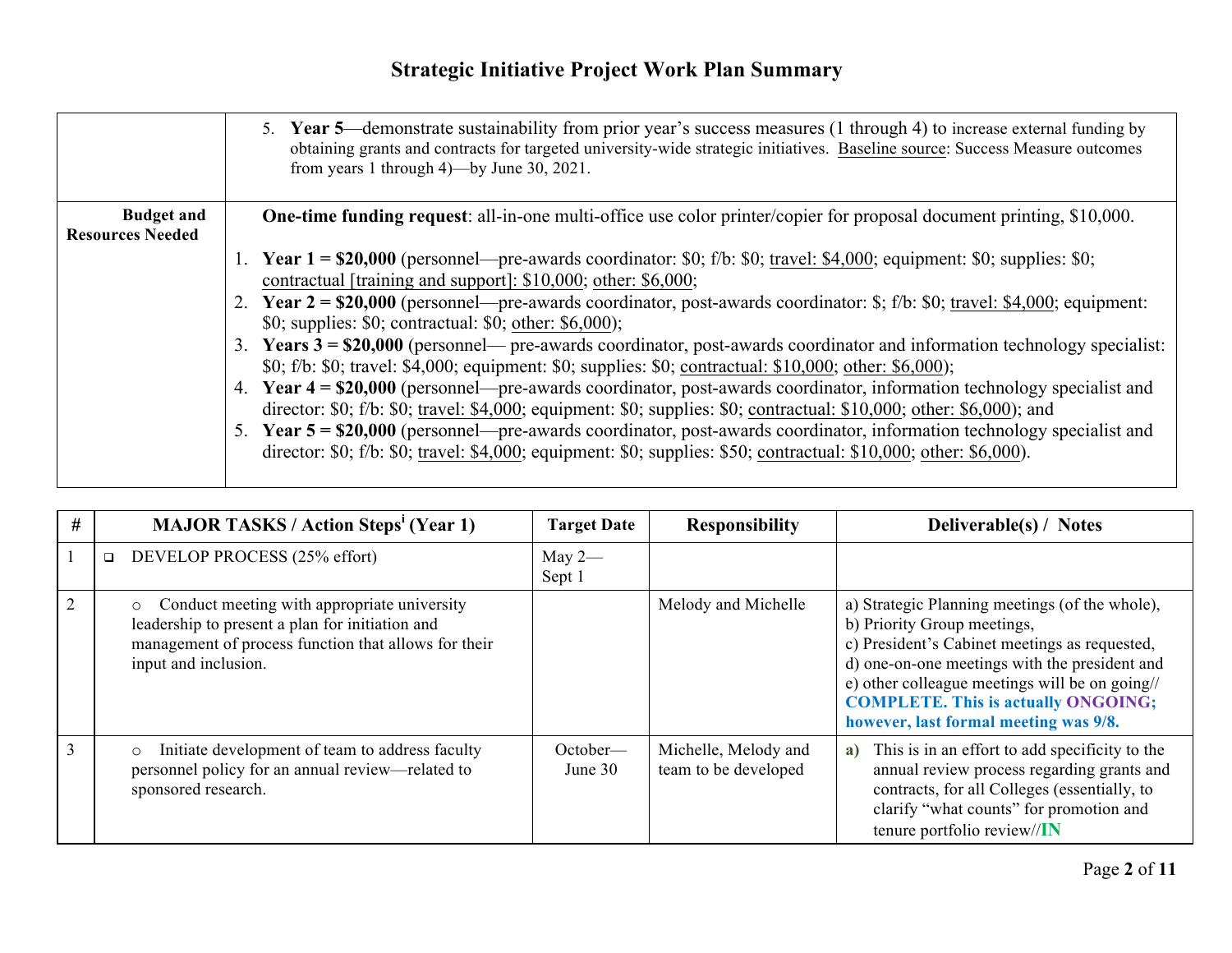|                         | 5. Year 5—demonstrate sustainability from prior year's success measures (1 through 4) to increase external funding by<br>obtaining grants and contracts for targeted university-wide strategic initiatives. Baseline source: Success Measure outcomes<br>from years 1 through $4$ )—by June 30, 2021. |
|-------------------------|-------------------------------------------------------------------------------------------------------------------------------------------------------------------------------------------------------------------------------------------------------------------------------------------------------|
| <b>Budget and</b>       | <b>One-time funding request</b> : all-in-one multi-office use color printer/copier for proposal document printing, \$10,000.                                                                                                                                                                          |
| <b>Resources Needed</b> |                                                                                                                                                                                                                                                                                                       |
|                         | 1. Year $1 = $20,000$ (personnel—pre-awards coordinator: \$0; f/b: \$0; travel: \$4,000; equipment: \$0; supplies: \$0;                                                                                                                                                                               |
|                         | contractual [training and support]: \$10,000; other: \$6,000;                                                                                                                                                                                                                                         |
|                         | 2. Year $2 = $20,000$ (personnel—pre-awards coordinator, post-awards coordinator: \$; f/b: \$0; travel: \$4,000; equipment:                                                                                                                                                                           |
|                         | \$0; supplies: \$0; contractual: \$0; other: \$6,000);                                                                                                                                                                                                                                                |
|                         | 3. Years $3 = $20,000$ (personnel— pre-awards coordinator, post-awards coordinator and information technology specialist:                                                                                                                                                                             |
|                         | \$0; f/b: \$0; travel: \$4,000; equipment: \$0; supplies: \$0; contractual: \$10,000; other: \$6,000);                                                                                                                                                                                                |
|                         | 4. Year 4 = \$20,000 (personnel—pre-awards coordinator, post-awards coordinator, information technology specialist and                                                                                                                                                                                |
|                         | director: $$0; f/b: $0;$ travel: $$4,000;$ equipment: $$0;$ supplies: $$0;$ contractual: $$10,000;$ other: $$6,000;$ and                                                                                                                                                                              |
|                         | 5. Year 5 = \$20,000 (personnel—pre-awards coordinator, post-awards coordinator, information technology specialist and                                                                                                                                                                                |
|                         | director: $$0; f/b: $0;$ travel: $$4,000;$ equipment: $$0;$ supplies: $$50;$ contractual: $$10,000;$ other: $$6,000$ ).                                                                                                                                                                               |
|                         |                                                                                                                                                                                                                                                                                                       |

| #              | <b>MAJOR TASKS / Action Steps' (Year 1)</b>                                                                                                                                               | <b>Target Date</b>  | <b>Responsibility</b>                        | Deliverable(s) / Notes                                                                                                                                                                                                                                                                                                   |
|----------------|-------------------------------------------------------------------------------------------------------------------------------------------------------------------------------------------|---------------------|----------------------------------------------|--------------------------------------------------------------------------------------------------------------------------------------------------------------------------------------------------------------------------------------------------------------------------------------------------------------------------|
|                | DEVELOP PROCESS (25% effort)<br>$\Box$                                                                                                                                                    | May $2-$<br>Sept 1  |                                              |                                                                                                                                                                                                                                                                                                                          |
| 2              | Conduct meeting with appropriate university<br>$\circ$<br>leadership to present a plan for initiation and<br>management of process function that allows for their<br>input and inclusion. |                     | Melody and Michelle                          | a) Strategic Planning meetings (of the whole),<br>b) Priority Group meetings,<br>c) President's Cabinet meetings as requested,<br>d) one-on-one meetings with the president and<br>e) other colleague meetings will be on going//<br><b>COMPLETE. This is actually ONGOING;</b><br>however, last formal meeting was 9/8. |
| $\overline{3}$ | Initiate development of team to address faculty<br>$\circ$<br>personnel policy for an annual review—related to<br>sponsored research.                                                     | October—<br>June 30 | Michelle, Melody and<br>team to be developed | This is in an effort to add specificity to the<br>a)<br>annual review process regarding grants and<br>contracts, for all Colleges (essentially, to<br>clarify "what counts" for promotion and<br>tenure portfolio review//IN                                                                                             |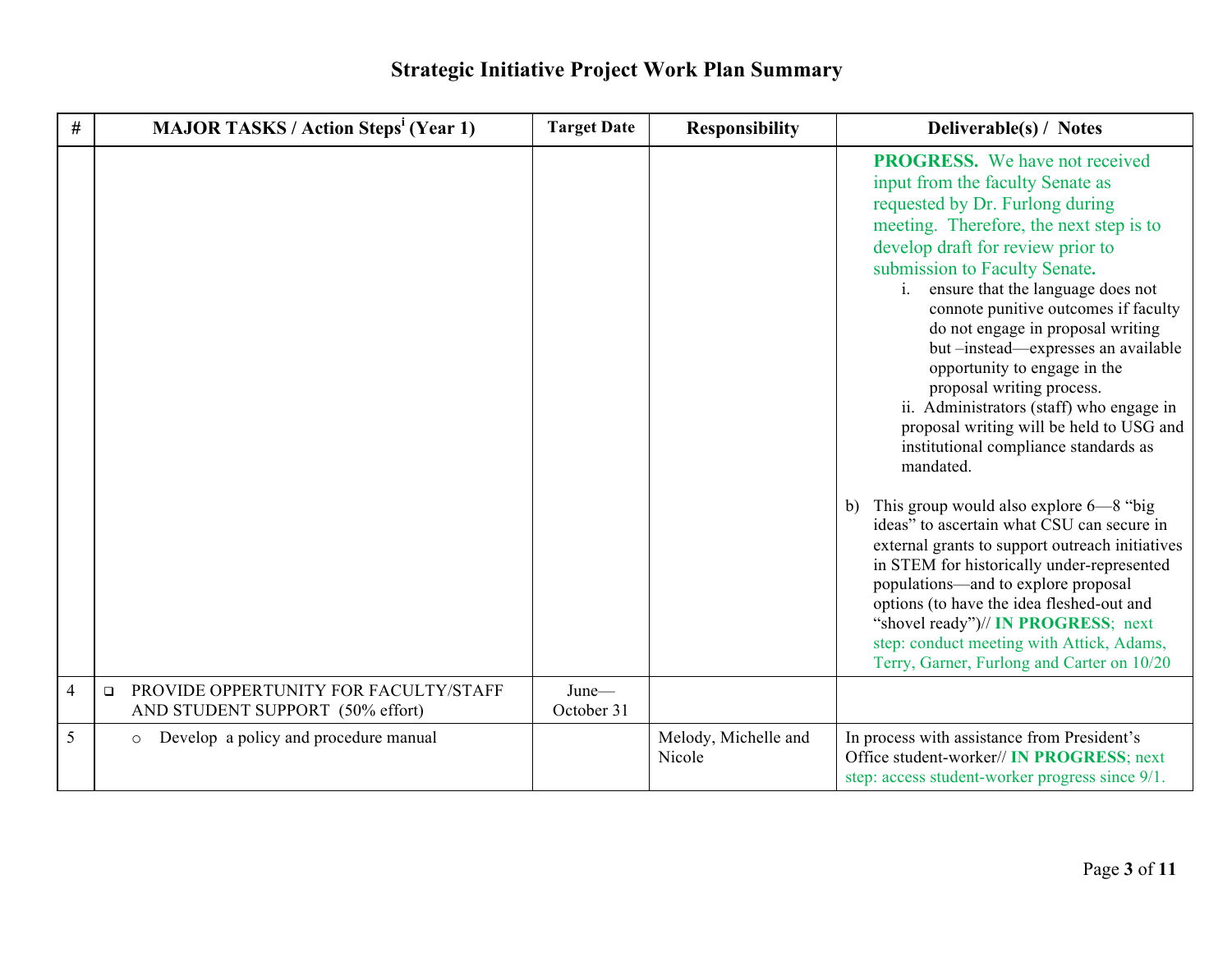| #              | <b>MAJOR TASKS / Action Steps<sup>i</sup> (Year 1)</b>                              | <b>Target Date</b>  | <b>Responsibility</b>          | Deliverable(s) / Notes                                                                                                                                                                                                                                                                                                                                                                                                                                                                                                                                                                                                                                                                                                                                                                                                                                                                                                                                                                                                                   |
|----------------|-------------------------------------------------------------------------------------|---------------------|--------------------------------|------------------------------------------------------------------------------------------------------------------------------------------------------------------------------------------------------------------------------------------------------------------------------------------------------------------------------------------------------------------------------------------------------------------------------------------------------------------------------------------------------------------------------------------------------------------------------------------------------------------------------------------------------------------------------------------------------------------------------------------------------------------------------------------------------------------------------------------------------------------------------------------------------------------------------------------------------------------------------------------------------------------------------------------|
|                |                                                                                     |                     |                                | <b>PROGRESS.</b> We have not received<br>input from the faculty Senate as<br>requested by Dr. Furlong during<br>meeting. Therefore, the next step is to<br>develop draft for review prior to<br>submission to Faculty Senate.<br>ensure that the language does not<br>$\mathbf{i}$ .<br>connote punitive outcomes if faculty<br>do not engage in proposal writing<br>but -instead-expresses an available<br>opportunity to engage in the<br>proposal writing process.<br>ii. Administrators (staff) who engage in<br>proposal writing will be held to USG and<br>institutional compliance standards as<br>mandated.<br>This group would also explore 6–8 "big<br>b)<br>ideas" to ascertain what CSU can secure in<br>external grants to support outreach initiatives<br>in STEM for historically under-represented<br>populations—and to explore proposal<br>options (to have the idea fleshed-out and<br>"shovel ready")// IN PROGRESS; next<br>step: conduct meeting with Attick, Adams,<br>Terry, Garner, Furlong and Carter on 10/20 |
| $\overline{4}$ | PROVIDE OPPERTUNITY FOR FACULTY/STAFF<br>$\Box$<br>AND STUDENT SUPPORT (50% effort) | June-<br>October 31 |                                |                                                                                                                                                                                                                                                                                                                                                                                                                                                                                                                                                                                                                                                                                                                                                                                                                                                                                                                                                                                                                                          |
| 5              | Develop a policy and procedure manual<br>$\circ$                                    |                     | Melody, Michelle and<br>Nicole | In process with assistance from President's<br>Office student-worker// IN PROGRESS; next<br>step: access student-worker progress since 9/1.                                                                                                                                                                                                                                                                                                                                                                                                                                                                                                                                                                                                                                                                                                                                                                                                                                                                                              |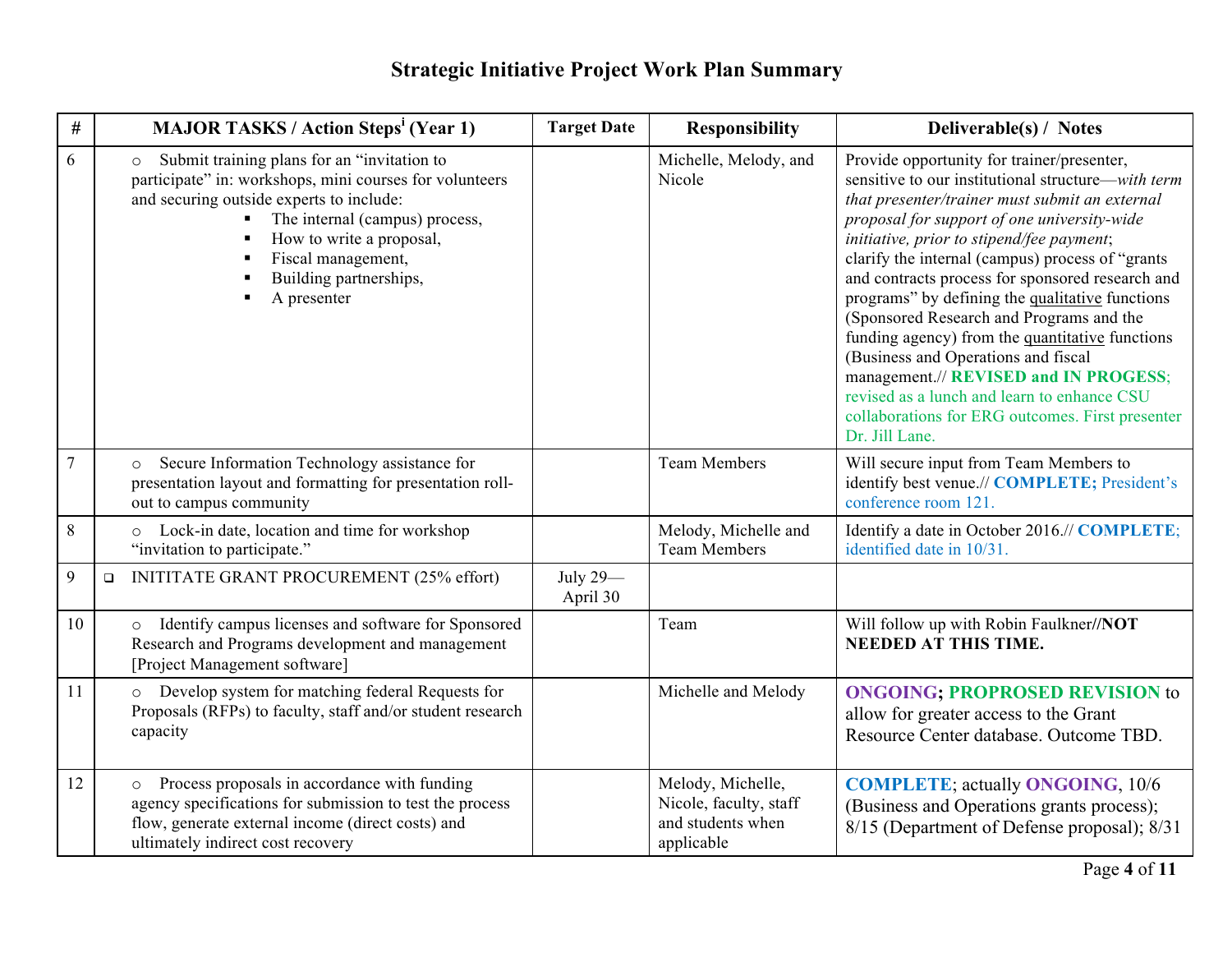| #       | <b>MAJOR TASKS / Action Steps<sup>i</sup> (Year 1)</b>                                                                                                                                                                                                                                     | <b>Target Date</b>   | <b>Responsibility</b>                                                          | Deliverable(s) / Notes                                                                                                                                                                                                                                                                                                                                                                                                                                                                                                                                                                                                                                                                                        |
|---------|--------------------------------------------------------------------------------------------------------------------------------------------------------------------------------------------------------------------------------------------------------------------------------------------|----------------------|--------------------------------------------------------------------------------|---------------------------------------------------------------------------------------------------------------------------------------------------------------------------------------------------------------------------------------------------------------------------------------------------------------------------------------------------------------------------------------------------------------------------------------------------------------------------------------------------------------------------------------------------------------------------------------------------------------------------------------------------------------------------------------------------------------|
| 6       | Submit training plans for an "invitation to<br>$\circ$<br>participate" in: workshops, mini courses for volunteers<br>and securing outside experts to include:<br>The internal (campus) process,<br>How to write a proposal,<br>Fiscal management,<br>Building partnerships,<br>A presenter |                      | Michelle, Melody, and<br>Nicole                                                | Provide opportunity for trainer/presenter,<br>sensitive to our institutional structure—with term<br>that presenter/trainer must submit an external<br>proposal for support of one university-wide<br>initiative, prior to stipend/fee payment;<br>clarify the internal (campus) process of "grants<br>and contracts process for sponsored research and<br>programs" by defining the qualitative functions<br>(Sponsored Research and Programs and the<br>funding agency) from the quantitative functions<br>(Business and Operations and fiscal<br>management.// REVISED and IN PROGESS;<br>revised as a lunch and learn to enhance CSU<br>collaborations for ERG outcomes. First presenter<br>Dr. Jill Lane. |
| $\tau$  | Secure Information Technology assistance for<br>$\circ$<br>presentation layout and formatting for presentation roll-<br>out to campus community                                                                                                                                            |                      | <b>Team Members</b>                                                            | Will secure input from Team Members to<br>identify best venue.// COMPLETE; President's<br>conference room 121.                                                                                                                                                                                                                                                                                                                                                                                                                                                                                                                                                                                                |
| $\,8\,$ | o Lock-in date, location and time for workshop<br>"invitation to participate."                                                                                                                                                                                                             |                      | Melody, Michelle and<br><b>Team Members</b>                                    | Identify a date in October 2016.// COMPLETE;<br>identified date in 10/31.                                                                                                                                                                                                                                                                                                                                                                                                                                                                                                                                                                                                                                     |
| 9       | <b>INITITATE GRANT PROCUREMENT (25% effort)</b><br>$\Box$                                                                                                                                                                                                                                  | July 29-<br>April 30 |                                                                                |                                                                                                                                                                                                                                                                                                                                                                                                                                                                                                                                                                                                                                                                                                               |
| 10      | Identify campus licenses and software for Sponsored<br>$\circ$<br>Research and Programs development and management<br>[Project Management software]                                                                                                                                        |                      | Team                                                                           | Will follow up with Robin Faulkner//NOT<br><b>NEEDED AT THIS TIME.</b>                                                                                                                                                                                                                                                                                                                                                                                                                                                                                                                                                                                                                                        |
| 11      | o Develop system for matching federal Requests for<br>Proposals (RFPs) to faculty, staff and/or student research<br>capacity                                                                                                                                                               |                      | Michelle and Melody                                                            | <b>ONGOING; PROPROSED REVISION to</b><br>allow for greater access to the Grant<br>Resource Center database. Outcome TBD.                                                                                                                                                                                                                                                                                                                                                                                                                                                                                                                                                                                      |
| 12      | Process proposals in accordance with funding<br>$\circ$<br>agency specifications for submission to test the process<br>flow, generate external income (direct costs) and<br>ultimately indirect cost recovery                                                                              |                      | Melody, Michelle,<br>Nicole, faculty, staff<br>and students when<br>applicable | <b>COMPLETE</b> ; actually <b>ONGOING</b> , 10/6<br>(Business and Operations grants process);<br>8/15 (Department of Defense proposal); 8/31                                                                                                                                                                                                                                                                                                                                                                                                                                                                                                                                                                  |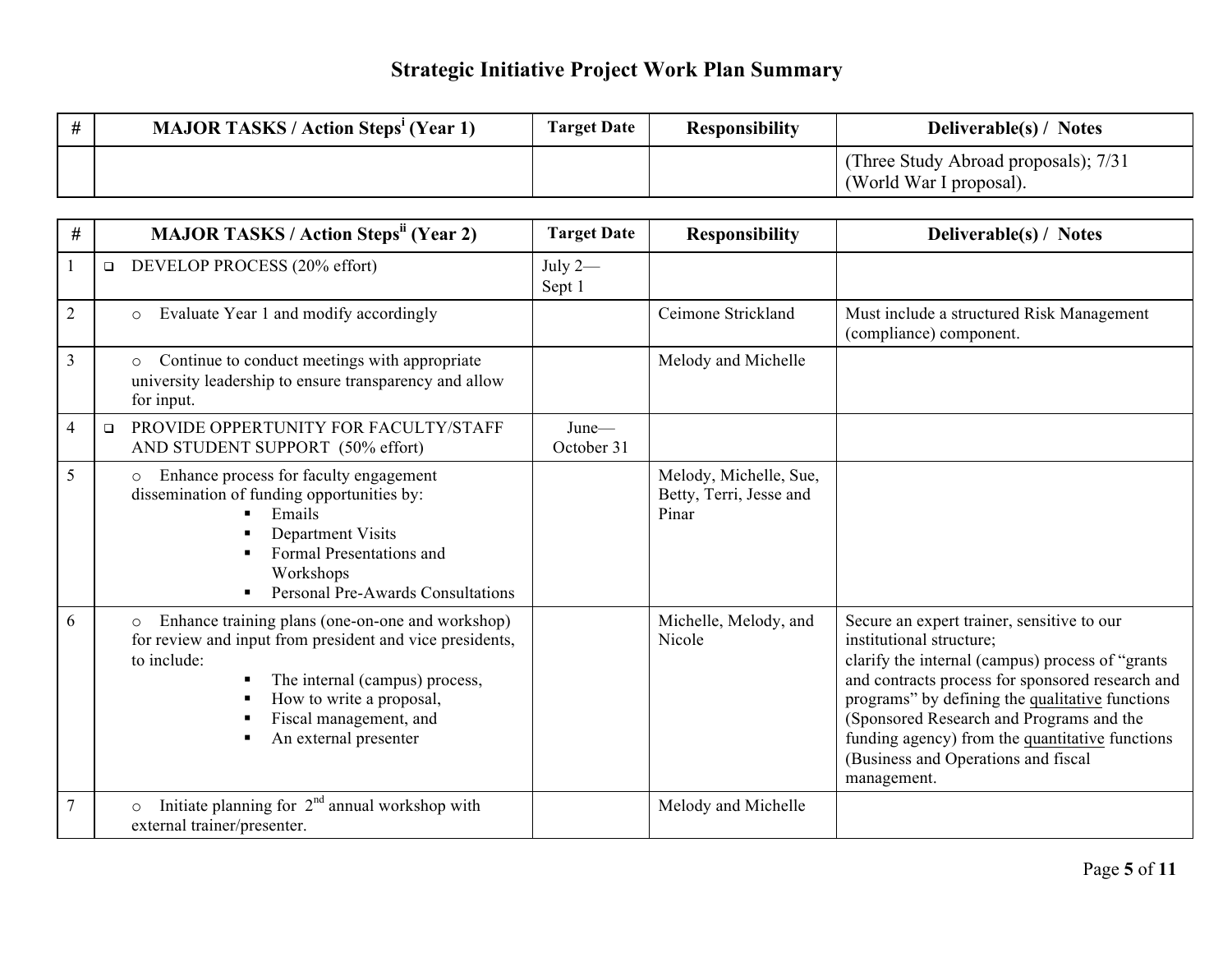| <b>MAJOR TASKS / Action Steps' (Year 1)</b> | <b>Target Date</b> | <b>Responsibility</b> | <b>Deliverable(s)</b> / Notes                                   |
|---------------------------------------------|--------------------|-----------------------|-----------------------------------------------------------------|
|                                             |                    |                       | (Three Study Abroad proposals); 7/31<br>(World War I proposal). |

| #              | <b>MAJOR TASKS / Action Steps<sup>ii</sup> (Year 2)</b>                                                                                                                                                                                                 |                                                                                                                                                                                                              | <b>Target Date</b>  | <b>Responsibility</b>                                      | Deliverable(s) / Notes                                                                                                                                                                                                                                                                                                                                                                 |
|----------------|---------------------------------------------------------------------------------------------------------------------------------------------------------------------------------------------------------------------------------------------------------|--------------------------------------------------------------------------------------------------------------------------------------------------------------------------------------------------------------|---------------------|------------------------------------------------------------|----------------------------------------------------------------------------------------------------------------------------------------------------------------------------------------------------------------------------------------------------------------------------------------------------------------------------------------------------------------------------------------|
|                | $\Box$                                                                                                                                                                                                                                                  | DEVELOP PROCESS (20% effort)                                                                                                                                                                                 | July $2-$<br>Sept 1 |                                                            |                                                                                                                                                                                                                                                                                                                                                                                        |
| $\overline{2}$ |                                                                                                                                                                                                                                                         | Evaluate Year 1 and modify accordingly<br>$\circ$                                                                                                                                                            |                     | Ceimone Strickland                                         | Must include a structured Risk Management<br>(compliance) component.                                                                                                                                                                                                                                                                                                                   |
| $\overline{3}$ |                                                                                                                                                                                                                                                         | Continue to conduct meetings with appropriate<br>$\circ$<br>university leadership to ensure transparency and allow<br>for input.                                                                             |                     | Melody and Michelle                                        |                                                                                                                                                                                                                                                                                                                                                                                        |
| $\overline{4}$ | $\Box$                                                                                                                                                                                                                                                  | PROVIDE OPPERTUNITY FOR FACULTY/STAFF<br>AND STUDENT SUPPORT (50% effort)                                                                                                                                    | June-<br>October 31 |                                                            |                                                                                                                                                                                                                                                                                                                                                                                        |
| 5              |                                                                                                                                                                                                                                                         | Enhance process for faculty engagement<br>$\circ$<br>dissemination of funding opportunities by:<br>Emails<br>Department Visits<br>Formal Presentations and<br>Workshops<br>Personal Pre-Awards Consultations |                     | Melody, Michelle, Sue,<br>Betty, Terri, Jesse and<br>Pinar |                                                                                                                                                                                                                                                                                                                                                                                        |
| 6              | Enhance training plans (one-on-one and workshop)<br>$\circ$<br>for review and input from president and vice presidents,<br>to include:<br>The internal (campus) process,<br>How to write a proposal,<br>Fiscal management, and<br>An external presenter |                                                                                                                                                                                                              |                     | Michelle, Melody, and<br>Nicole                            | Secure an expert trainer, sensitive to our<br>institutional structure;<br>clarify the internal (campus) process of "grants<br>and contracts process for sponsored research and<br>programs" by defining the qualitative functions<br>(Sponsored Research and Programs and the<br>funding agency) from the quantitative functions<br>(Business and Operations and fiscal<br>management. |
| $\overline{7}$ |                                                                                                                                                                                                                                                         | Initiate planning for $2nd$ annual workshop with<br>external trainer/presenter.                                                                                                                              |                     | Melody and Michelle                                        |                                                                                                                                                                                                                                                                                                                                                                                        |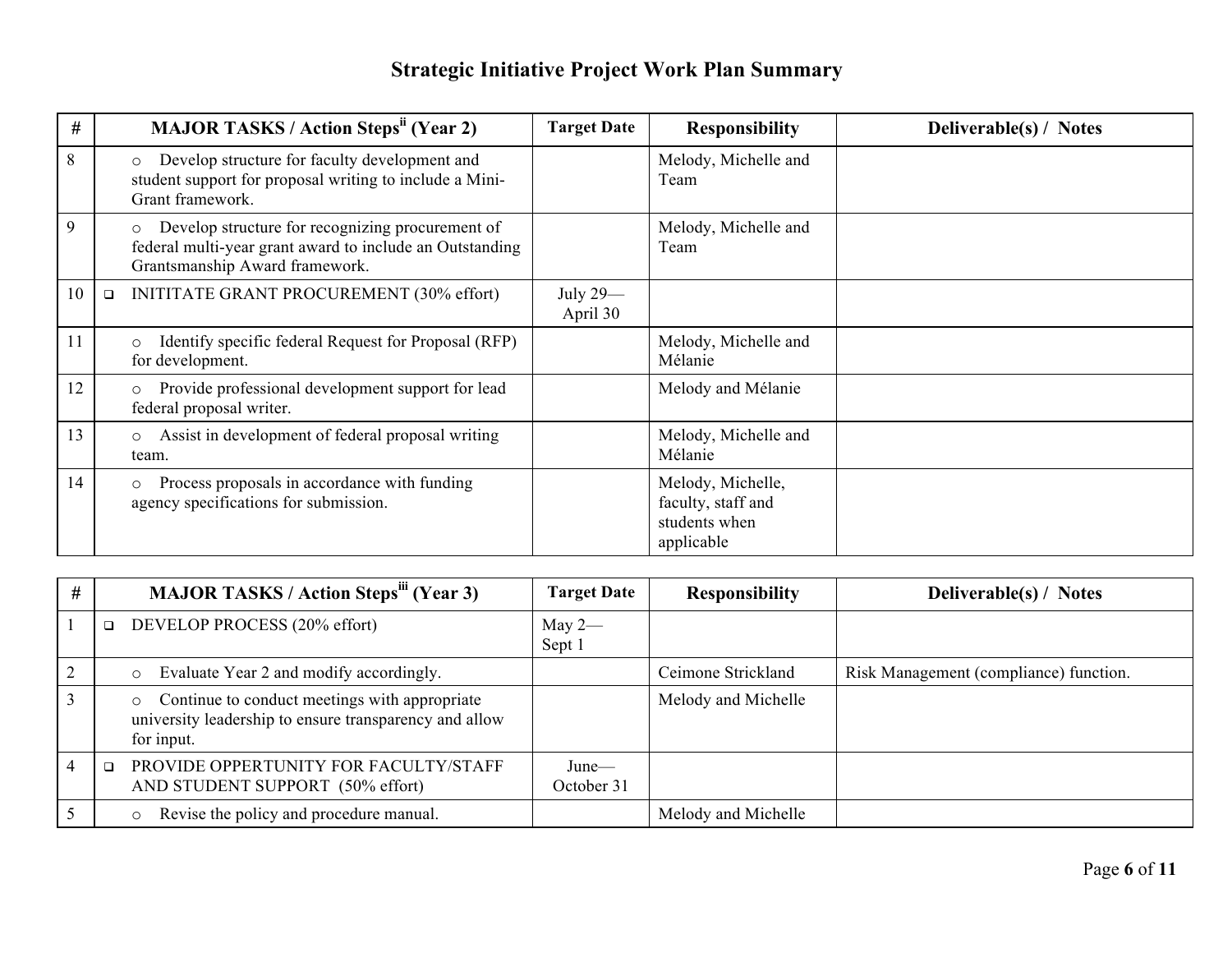| $\#$ | <b>MAJOR TASKS / Action Steps<sup>ii</sup> (Year 2)</b>                                                                                                   | <b>Target Date</b>   | <b>Responsibility</b>                                                  | Deliverable(s) / Notes |
|------|-----------------------------------------------------------------------------------------------------------------------------------------------------------|----------------------|------------------------------------------------------------------------|------------------------|
| 8    | Develop structure for faculty development and<br>$\circ$<br>student support for proposal writing to include a Mini-<br>Grant framework.                   |                      | Melody, Michelle and<br>Team                                           |                        |
| 9    | Develop structure for recognizing procurement of<br>$\circ$<br>federal multi-year grant award to include an Outstanding<br>Grantsmanship Award framework. |                      | Melody, Michelle and<br>Team                                           |                        |
| 10   | INITITATE GRANT PROCUREMENT (30% effort)<br>$\Box$                                                                                                        | July 29-<br>April 30 |                                                                        |                        |
| 11   | Identify specific federal Request for Proposal (RFP)<br>$\circ$<br>for development.                                                                       |                      | Melody, Michelle and<br>Mélanie                                        |                        |
| 12   | Provide professional development support for lead<br>$\circ$<br>federal proposal writer.                                                                  |                      | Melody and Mélanie                                                     |                        |
| 13   | Assist in development of federal proposal writing<br>$\circ$<br>team.                                                                                     |                      | Melody, Michelle and<br>Mélanie                                        |                        |
| 14   | Process proposals in accordance with funding<br>$\circ$<br>agency specifications for submission.                                                          |                      | Melody, Michelle,<br>faculty, staff and<br>students when<br>applicable |                        |

| # | <b>MAJOR TASKS / Action Steps<sup>iii</sup> (Year 3)</b>                                                                         | <b>Target Date</b>     | <b>Responsibility</b> | Deliverable(s) / Notes                 |
|---|----------------------------------------------------------------------------------------------------------------------------------|------------------------|-----------------------|----------------------------------------|
|   | DEVELOP PROCESS (20% effort)<br>$\Box$                                                                                           | May $2-$<br>Sept 1     |                       |                                        |
|   | Evaluate Year 2 and modify accordingly.<br>$\circ$                                                                               |                        | Ceimone Strickland    | Risk Management (compliance) function. |
|   | Continue to conduct meetings with appropriate<br>$\circ$<br>university leadership to ensure transparency and allow<br>for input. |                        | Melody and Michelle   |                                        |
|   | PROVIDE OPPERTUNITY FOR FACULTY/STAFF<br>AND STUDENT SUPPORT (50% effort)                                                        | $June$ —<br>October 31 |                       |                                        |
|   | Revise the policy and procedure manual.                                                                                          |                        | Melody and Michelle   |                                        |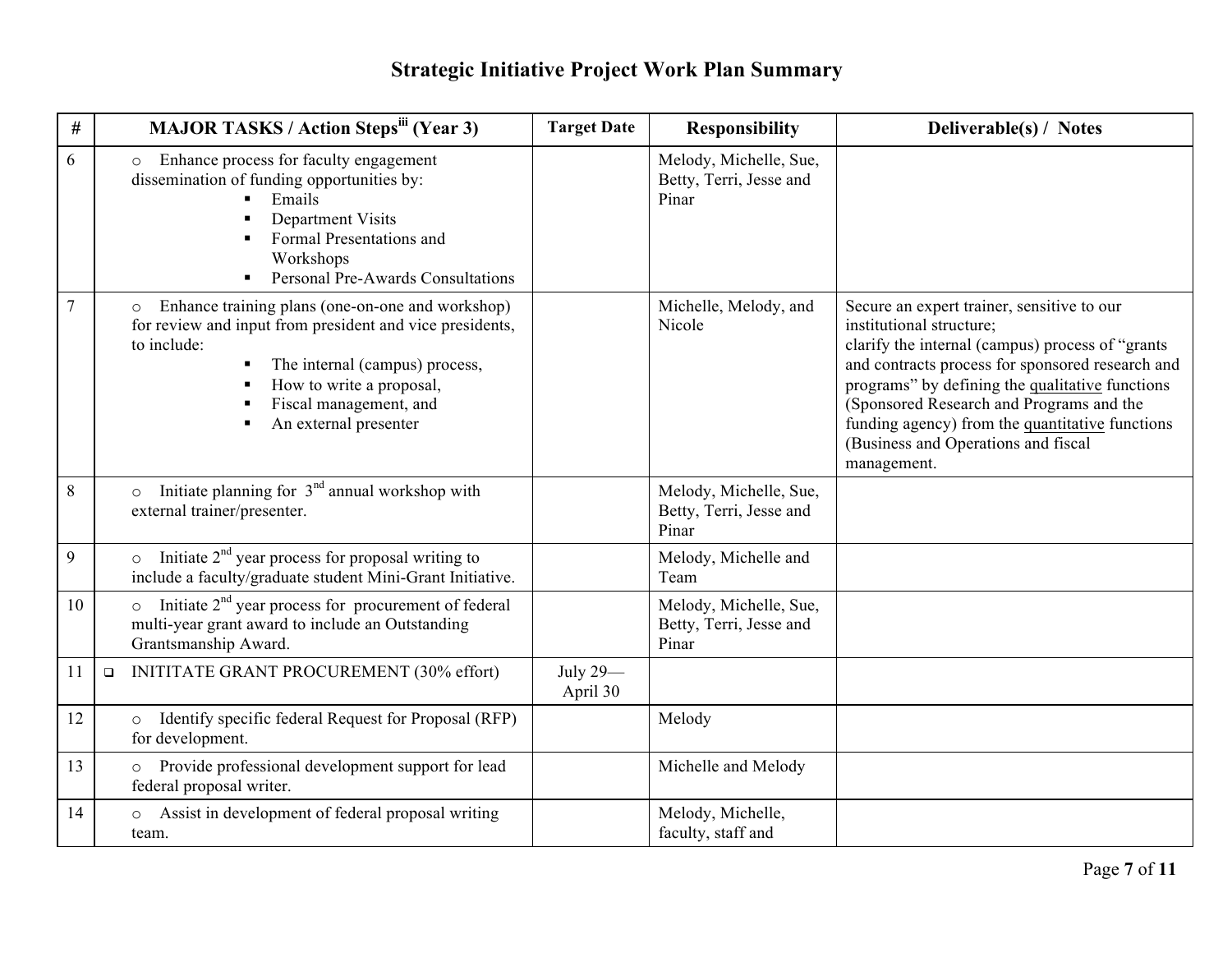| #              | <b>MAJOR TASKS / Action Stepsili (Year 3)</b>                                                                                                                                                                                                                  |                                                                                                                                                                                                   | <b>Target Date</b>   | <b>Responsibility</b>                                      | Deliverable(s) / Notes                                                                                                                                                                                                                                                                                                                                                                 |
|----------------|----------------------------------------------------------------------------------------------------------------------------------------------------------------------------------------------------------------------------------------------------------------|---------------------------------------------------------------------------------------------------------------------------------------------------------------------------------------------------|----------------------|------------------------------------------------------------|----------------------------------------------------------------------------------------------------------------------------------------------------------------------------------------------------------------------------------------------------------------------------------------------------------------------------------------------------------------------------------------|
| 6              | $\circ$                                                                                                                                                                                                                                                        | Enhance process for faculty engagement<br>dissemination of funding opportunities by:<br>Emails<br>Department Visits<br>Formal Presentations and<br>Workshops<br>Personal Pre-Awards Consultations |                      | Melody, Michelle, Sue,<br>Betty, Terri, Jesse and<br>Pinar |                                                                                                                                                                                                                                                                                                                                                                                        |
| $\overline{7}$ | Enhance training plans (one-on-one and workshop)<br>for review and input from president and vice presidents,<br>to include:<br>The internal (campus) process,<br>$\blacksquare$<br>How to write a proposal,<br>Fiscal management, and<br>An external presenter |                                                                                                                                                                                                   |                      | Michelle, Melody, and<br>Nicole                            | Secure an expert trainer, sensitive to our<br>institutional structure;<br>clarify the internal (campus) process of "grants<br>and contracts process for sponsored research and<br>programs" by defining the qualitative functions<br>(Sponsored Research and Programs and the<br>funding agency) from the quantitative functions<br>(Business and Operations and fiscal<br>management. |
| $\,8\,$        | external trainer/presenter.                                                                                                                                                                                                                                    | Initiate planning for $3nd$ annual workshop with                                                                                                                                                  |                      | Melody, Michelle, Sue,<br>Betty, Terri, Jesse and<br>Pinar |                                                                                                                                                                                                                                                                                                                                                                                        |
| 9              |                                                                                                                                                                                                                                                                | Initiate $2nd$ year process for proposal writing to<br>include a faculty/graduate student Mini-Grant Initiative.                                                                                  |                      | Melody, Michelle and<br>Team                               |                                                                                                                                                                                                                                                                                                                                                                                        |
| 10             | Grantsmanship Award.                                                                                                                                                                                                                                           | Initiate $2nd$ year process for procurement of federal<br>multi-year grant award to include an Outstanding                                                                                        |                      | Melody, Michelle, Sue,<br>Betty, Terri, Jesse and<br>Pinar |                                                                                                                                                                                                                                                                                                                                                                                        |
| 11             | $\Box$                                                                                                                                                                                                                                                         | INITITATE GRANT PROCUREMENT (30% effort)                                                                                                                                                          | July 29-<br>April 30 |                                                            |                                                                                                                                                                                                                                                                                                                                                                                        |
| 12             | for development.                                                                                                                                                                                                                                               | Identify specific federal Request for Proposal (RFP)                                                                                                                                              |                      | Melody                                                     |                                                                                                                                                                                                                                                                                                                                                                                        |
| 13             | $\circ$<br>federal proposal writer.                                                                                                                                                                                                                            | Provide professional development support for lead                                                                                                                                                 |                      | Michelle and Melody                                        |                                                                                                                                                                                                                                                                                                                                                                                        |
| 14             | $\circ$<br>team.                                                                                                                                                                                                                                               | Assist in development of federal proposal writing                                                                                                                                                 |                      | Melody, Michelle,<br>faculty, staff and                    |                                                                                                                                                                                                                                                                                                                                                                                        |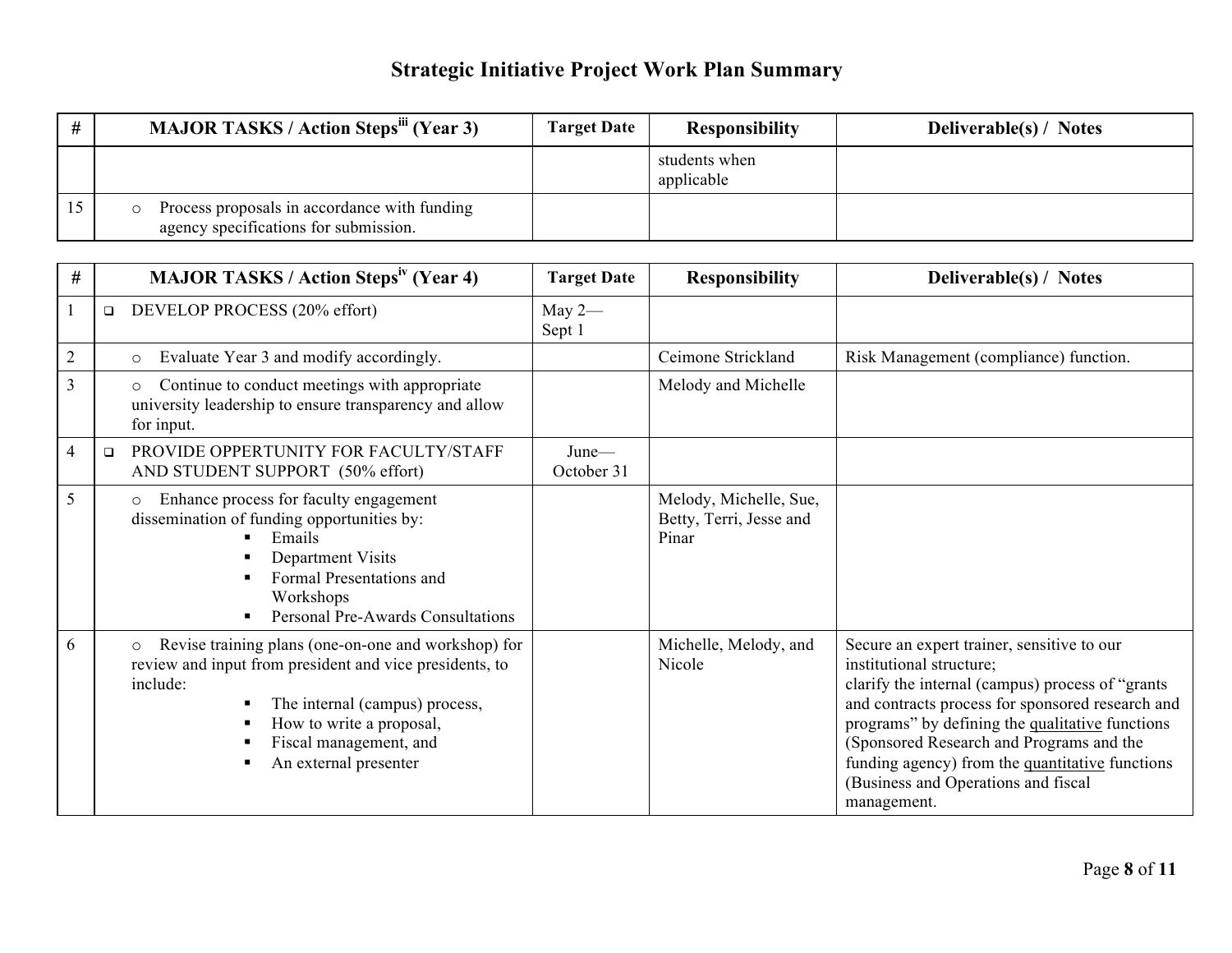| <b>MAJOR TASKS / Action Steps<sup>iii</sup> (Year 3)</b>                              | <b>Target Date</b> | <b>Responsibility</b>       | <b>Deliverable(s)</b> / Notes |
|---------------------------------------------------------------------------------------|--------------------|-----------------------------|-------------------------------|
|                                                                                       |                    | students when<br>applicable |                               |
| Process proposals in accordance with funding<br>agency specifications for submission. |                    |                             |                               |

| #              |                                                                                                           | <b>MAJOR TASKS / Action Steps<sup>iv</sup> (Year 4)</b>                                                                                                                                                                         | <b>Target Date</b>     | <b>Responsibility</b>                                      | Deliverable(s) / Notes                                                                                                                                                                                                                                                                                                                                                                  |
|----------------|-----------------------------------------------------------------------------------------------------------|---------------------------------------------------------------------------------------------------------------------------------------------------------------------------------------------------------------------------------|------------------------|------------------------------------------------------------|-----------------------------------------------------------------------------------------------------------------------------------------------------------------------------------------------------------------------------------------------------------------------------------------------------------------------------------------------------------------------------------------|
|                | DEVELOP PROCESS (20% effort)<br>$\Box$                                                                    |                                                                                                                                                                                                                                 | May $2-$<br>Sept 1     |                                                            |                                                                                                                                                                                                                                                                                                                                                                                         |
| $\overline{2}$ | Evaluate Year 3 and modify accordingly.<br>$\circ$                                                        |                                                                                                                                                                                                                                 |                        | Ceimone Strickland                                         | Risk Management (compliance) function.                                                                                                                                                                                                                                                                                                                                                  |
| $\overline{3}$ | $\circ$<br>for input.                                                                                     | Continue to conduct meetings with appropriate<br>university leadership to ensure transparency and allow                                                                                                                         |                        | Melody and Michelle                                        |                                                                                                                                                                                                                                                                                                                                                                                         |
| $\overline{4}$ | $\Box$<br>AND STUDENT SUPPORT (50% effort)                                                                | PROVIDE OPPERTUNITY FOR FACULTY/STAFF                                                                                                                                                                                           | $June$ —<br>October 31 |                                                            |                                                                                                                                                                                                                                                                                                                                                                                         |
| 5              | Enhance process for faculty engagement<br>$\circ$<br>dissemination of funding opportunities by:<br>Emails | Department Visits<br>Formal Presentations and<br>Workshops<br>Personal Pre-Awards Consultations                                                                                                                                 |                        | Melody, Michelle, Sue,<br>Betty, Terri, Jesse and<br>Pinar |                                                                                                                                                                                                                                                                                                                                                                                         |
| 6              | $\circ$<br>include:                                                                                       | Revise training plans (one-on-one and workshop) for<br>review and input from president and vice presidents, to<br>The internal (campus) process,<br>How to write a proposal,<br>Fiscal management, and<br>An external presenter |                        | Michelle, Melody, and<br>Nicole                            | Secure an expert trainer, sensitive to our<br>institutional structure;<br>clarify the internal (campus) process of "grants"<br>and contracts process for sponsored research and<br>programs" by defining the qualitative functions<br>(Sponsored Research and Programs and the<br>funding agency) from the quantitative functions<br>(Business and Operations and fiscal<br>management. |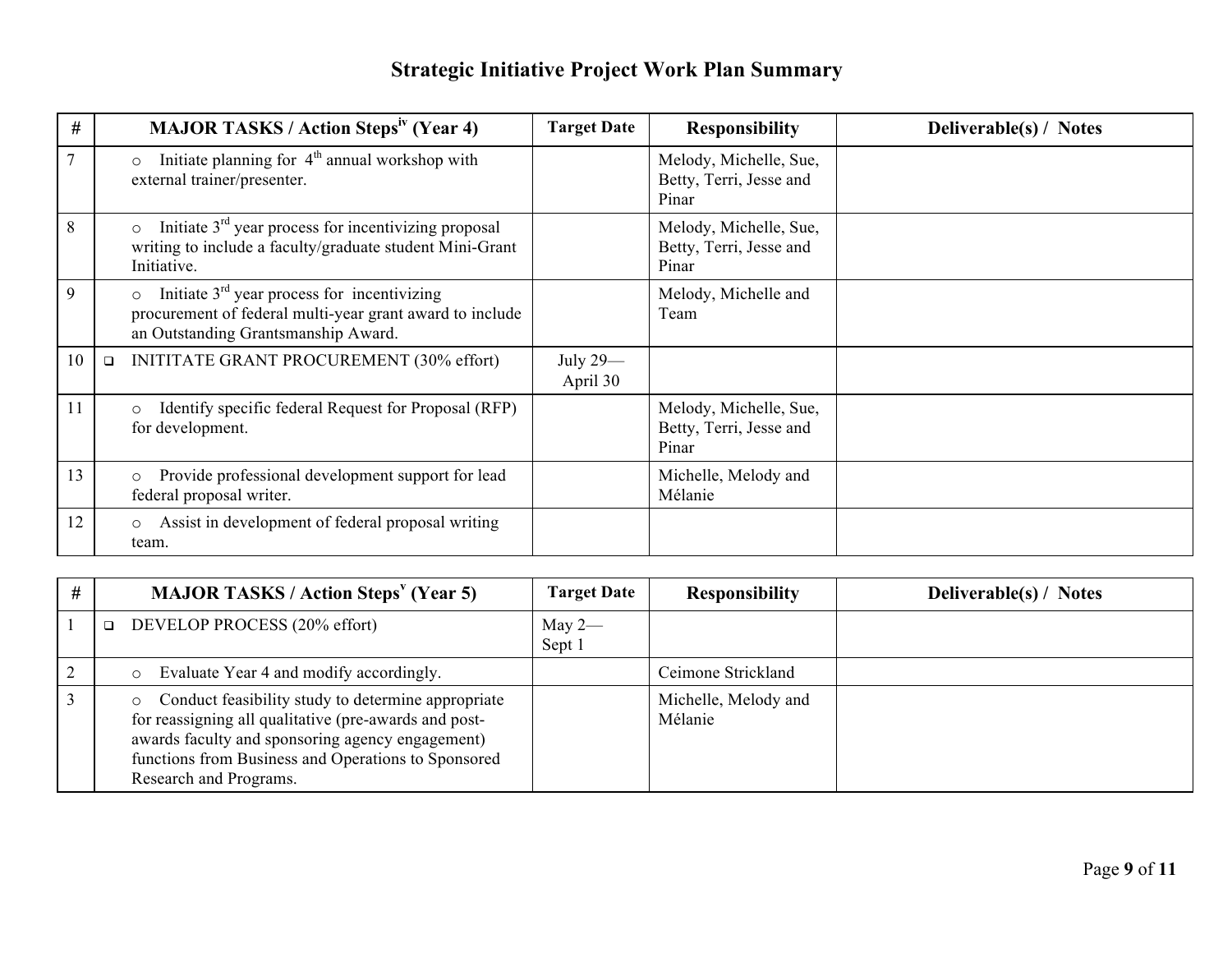| #  |        | <b>MAJOR TASKS / Action Steps<sup>iv</sup></b> (Year 4)                                                                                                     | <b>Target Date</b>   | <b>Responsibility</b>                                      | Deliverable(s) / Notes |
|----|--------|-------------------------------------------------------------------------------------------------------------------------------------------------------------|----------------------|------------------------------------------------------------|------------------------|
|    |        | Initiate planning for $4th$ annual workshop with<br>$\circ$<br>external trainer/presenter.                                                                  |                      | Melody, Michelle, Sue,<br>Betty, Terri, Jesse and<br>Pinar |                        |
| 8  |        | Initiate $3rd$ year process for incentivizing proposal<br>$\circ$<br>writing to include a faculty/graduate student Mini-Grant<br>Initiative.                |                      | Melody, Michelle, Sue,<br>Betty, Terri, Jesse and<br>Pinar |                        |
| 9  |        | Initiate $3rd$ year process for incentivizing<br>$\circ$<br>procurement of federal multi-year grant award to include<br>an Outstanding Grantsmanship Award. |                      | Melody, Michelle and<br>Team                               |                        |
| 10 | $\Box$ | INITITATE GRANT PROCUREMENT (30% effort)                                                                                                                    | July 29-<br>April 30 |                                                            |                        |
| 11 |        | Identify specific federal Request for Proposal (RFP)<br>$\circ$<br>for development.                                                                         |                      | Melody, Michelle, Sue,<br>Betty, Terri, Jesse and<br>Pinar |                        |
| 13 |        | Provide professional development support for lead<br>$\circ$<br>federal proposal writer.                                                                    |                      | Michelle, Melody and<br>Mélanie                            |                        |
| 12 |        | Assist in development of federal proposal writing<br>$\circ$<br>team.                                                                                       |                      |                                                            |                        |

| $\pmb{\pm}$ | <b>MAJOR TASKS / Action Steps<sup>v</sup> (Year 5)</b>                                                                                                                                                                                           | <b>Target Date</b> | <b>Responsibility</b>           | <b>Deliverable(s)</b> / Notes |
|-------------|--------------------------------------------------------------------------------------------------------------------------------------------------------------------------------------------------------------------------------------------------|--------------------|---------------------------------|-------------------------------|
|             | DEVELOP PROCESS (20% effort)<br>$\Box$                                                                                                                                                                                                           | May $2-$<br>Sept 1 |                                 |                               |
|             | Evaluate Year 4 and modify accordingly.                                                                                                                                                                                                          |                    | Ceimone Strickland              |                               |
|             | Conduct feasibility study to determine appropriate<br>for reassigning all qualitative (pre-awards and post-<br>awards faculty and sponsoring agency engagement)<br>functions from Business and Operations to Sponsored<br>Research and Programs. |                    | Michelle, Melody and<br>Mélanie |                               |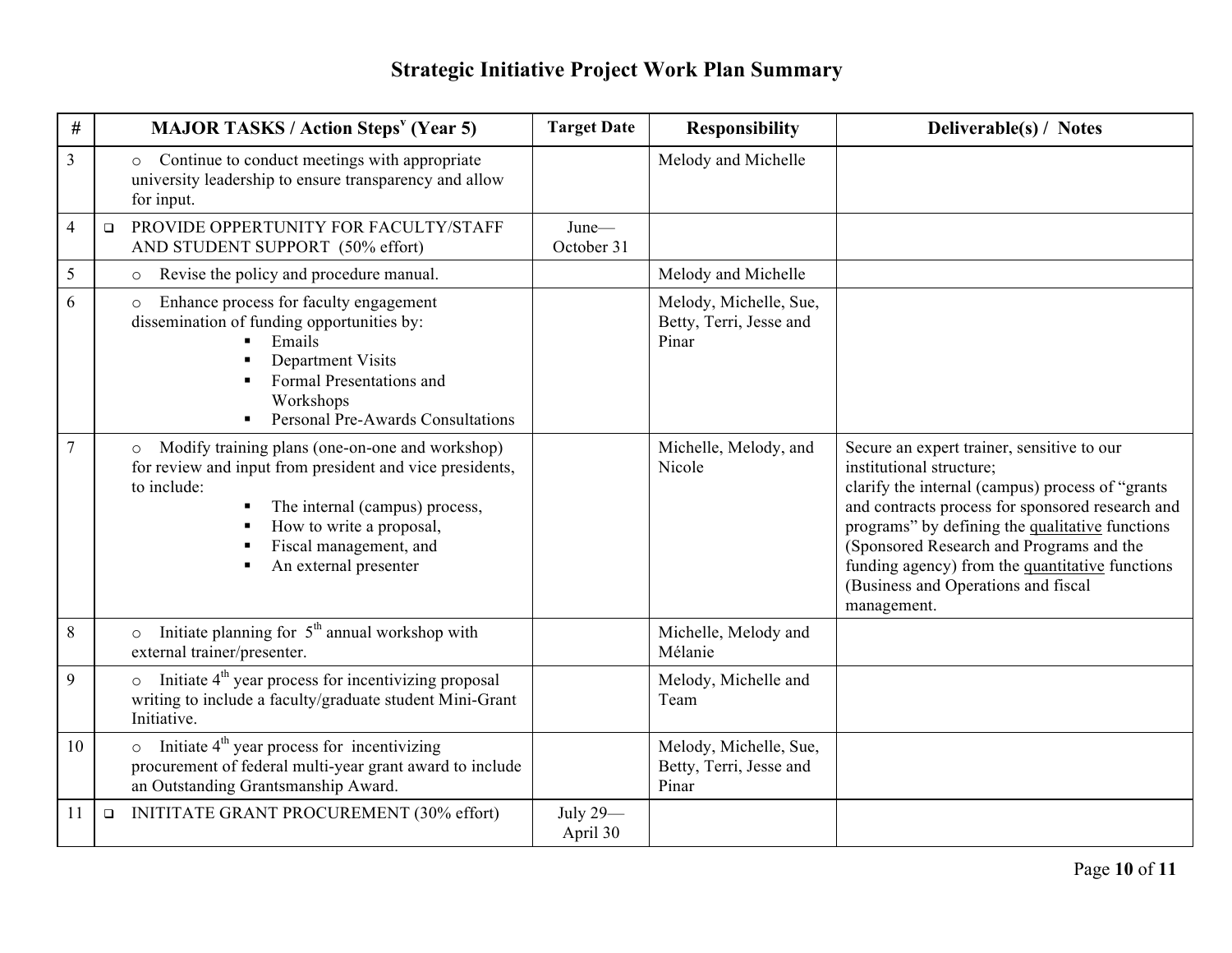| #  |        | <b>MAJOR TASKS / Action Steps<sup>v</sup> (Year 5)</b>                                                                                                                                                                                                 | <b>Target Date</b>   | <b>Responsibility</b>                                      | Deliverable(s) / Notes                                                                                                                                                                                                                                                                                                                                                                 |
|----|--------|--------------------------------------------------------------------------------------------------------------------------------------------------------------------------------------------------------------------------------------------------------|----------------------|------------------------------------------------------------|----------------------------------------------------------------------------------------------------------------------------------------------------------------------------------------------------------------------------------------------------------------------------------------------------------------------------------------------------------------------------------------|
| 3  |        | Continue to conduct meetings with appropriate<br>$\circ$<br>university leadership to ensure transparency and allow<br>for input.                                                                                                                       |                      | Melody and Michelle                                        |                                                                                                                                                                                                                                                                                                                                                                                        |
| 4  | $\Box$ | PROVIDE OPPERTUNITY FOR FACULTY/STAFF<br>AND STUDENT SUPPORT (50% effort)                                                                                                                                                                              | June-<br>October 31  |                                                            |                                                                                                                                                                                                                                                                                                                                                                                        |
| 5  |        | Revise the policy and procedure manual.<br>$\circ$                                                                                                                                                                                                     |                      | Melody and Michelle                                        |                                                                                                                                                                                                                                                                                                                                                                                        |
| 6  |        | Enhance process for faculty engagement<br>$\circ$<br>dissemination of funding opportunities by:<br>Emails<br>Department Visits<br>Formal Presentations and<br>Workshops<br>Personal Pre-Awards Consultations<br>$\blacksquare$                         |                      | Melody, Michelle, Sue,<br>Betty, Terri, Jesse and<br>Pinar |                                                                                                                                                                                                                                                                                                                                                                                        |
| 7  |        | Modify training plans (one-on-one and workshop)<br>$\circ$<br>for review and input from president and vice presidents,<br>to include:<br>The internal (campus) process,<br>How to write a proposal,<br>Fiscal management, and<br>An external presenter |                      | Michelle, Melody, and<br>Nicole                            | Secure an expert trainer, sensitive to our<br>institutional structure;<br>clarify the internal (campus) process of "grants<br>and contracts process for sponsored research and<br>programs" by defining the qualitative functions<br>(Sponsored Research and Programs and the<br>funding agency) from the quantitative functions<br>(Business and Operations and fiscal<br>management. |
| 8  |        | Initiate planning for $5th$ annual workshop with<br>external trainer/presenter.                                                                                                                                                                        |                      | Michelle, Melody and<br>Mélanie                            |                                                                                                                                                                                                                                                                                                                                                                                        |
| 9  |        | Initiate $4th$ year process for incentivizing proposal<br>$\circ$<br>writing to include a faculty/graduate student Mini-Grant<br>Initiative.                                                                                                           |                      | Melody, Michelle and<br>Team                               |                                                                                                                                                                                                                                                                                                                                                                                        |
| 10 |        | Initiate 4 <sup>th</sup> year process for incentivizing<br>$\circ$<br>procurement of federal multi-year grant award to include<br>an Outstanding Grantsmanship Award.                                                                                  |                      | Melody, Michelle, Sue,<br>Betty, Terri, Jesse and<br>Pinar |                                                                                                                                                                                                                                                                                                                                                                                        |
| 11 | $\Box$ | INITITATE GRANT PROCUREMENT (30% effort)                                                                                                                                                                                                               | July 29-<br>April 30 |                                                            |                                                                                                                                                                                                                                                                                                                                                                                        |